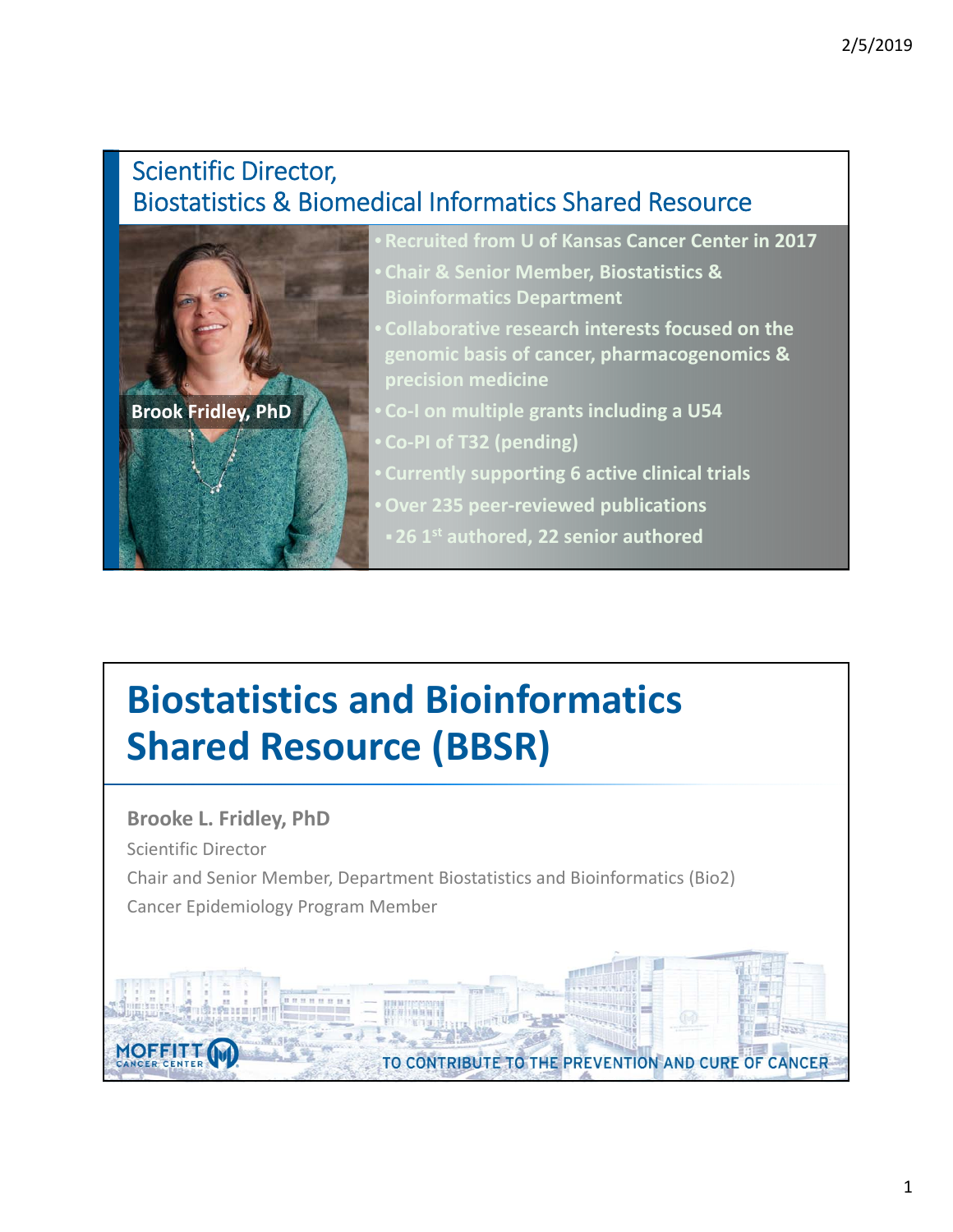#### Scientific Director, Biostatistics & Biomedical Informatics Shared Resource



# **Biostatistics and Bioinformatics Shared Resource (BBSR)**

**Brooke L. Fridley, PhD** Scientific Director Chair and Senior Member, Department Biostatistics and Bioinformatics (Bio2) Cancer Epidemiology Program Member

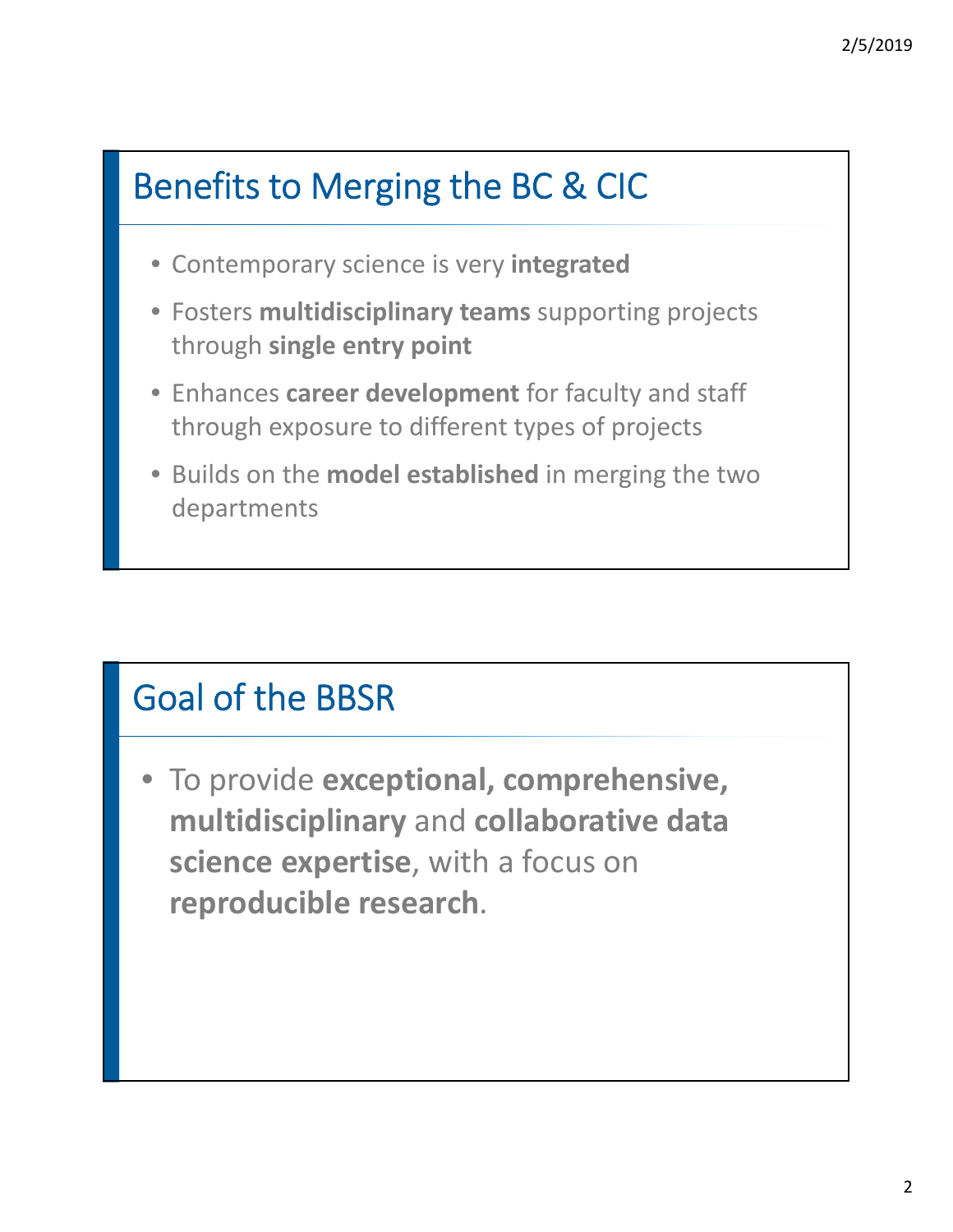## Benefits to Merging the BC & CIC

- Contemporary science is very **integrated**
- Fosters **multidisciplinary teams** supporting projects through **single entry point**
- Enhances **career development** for faculty and staff through exposure to different types of projects
- Builds on the **model established** in merging the two departments

### Goal of the BBSR

• To provide **exceptional, comprehensive, multidisciplinary** and **collaborative data science expertise**, with a focus on **reproducible research**.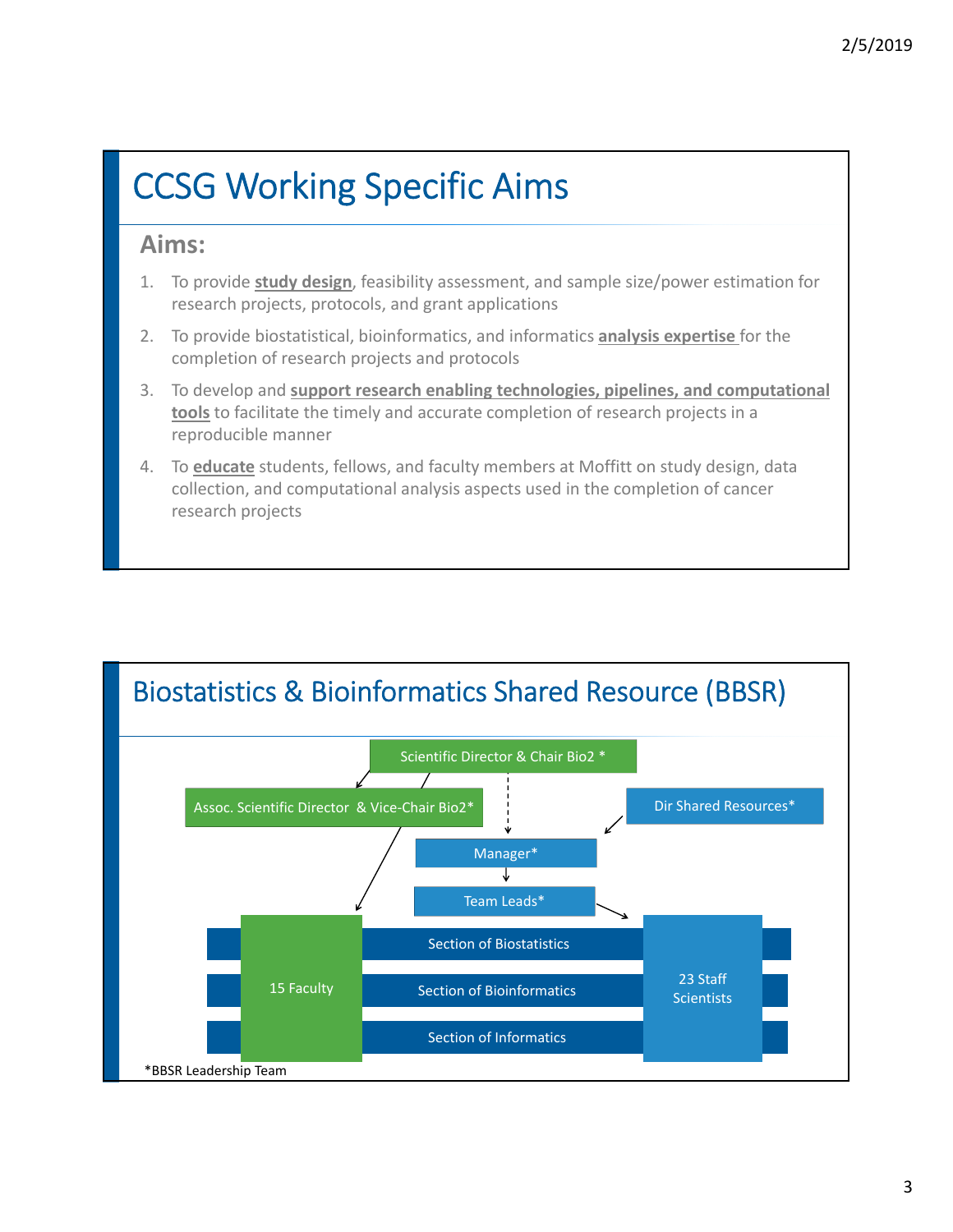# CCSG Working Specific Aims

#### **Aims:**

- 1. To provide **study design**, feasibility assessment, and sample size/power estimation for research projects, protocols, and grant applications
- 2. To provide biostatistical, bioinformatics, and informatics **analysis expertise** for the completion of research projects and protocols
- 3. To develop and **support research enabling technologies, pipelines, and computational tools** to facilitate the timely and accurate completion of research projects in a reproducible manner
- 4. To **educate** students, fellows, and faculty members at Moffitt on study design, data collection, and computational analysis aspects used in the completion of cancer research projects

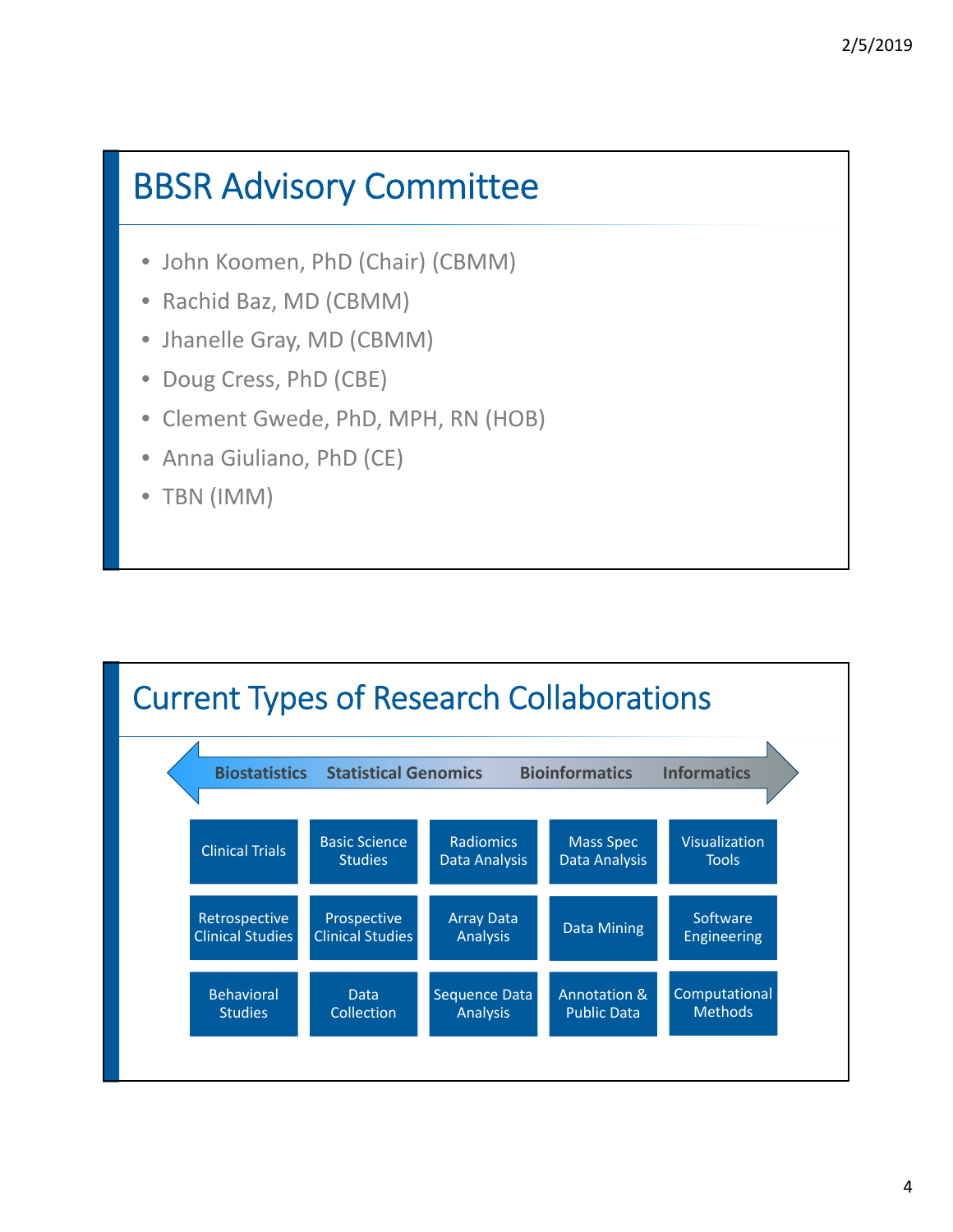#### BBSR Advisory Committee

- John Koomen, PhD (Chair) (CBMM)
- Rachid Baz, MD (CBMM)
- Jhanelle Gray, MD (CBMM)
- Doug Cress, PhD (CBE)
- Clement Gwede, PhD, MPH, RN (HOB)
- Anna Giuliano, PhD (CE)
- TBN (IMM)

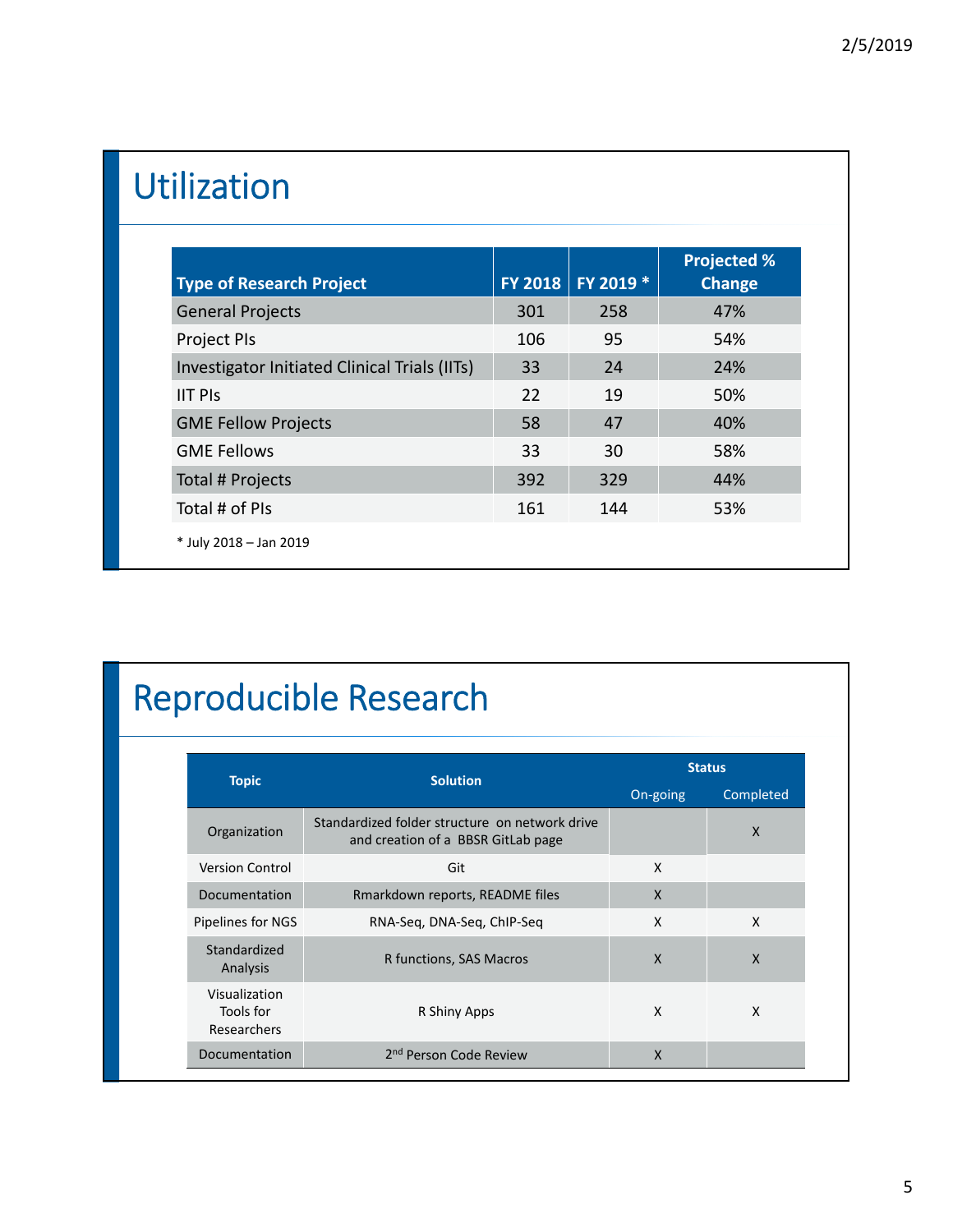# Utilization

| <b>Type of Research Project</b>               | <b>FY 2018</b> | FY 2019 * | <b>Projected %</b><br><b>Change</b> |
|-----------------------------------------------|----------------|-----------|-------------------------------------|
| <b>General Projects</b>                       | 301            | 258       | 47%                                 |
| <b>Project PIs</b>                            | 106            | 95        | 54%                                 |
| Investigator Initiated Clinical Trials (IITs) | 33             | 24        | 24%                                 |
| <b>IIT PIS</b>                                | 22             | 19        | 50%                                 |
| <b>GME Fellow Projects</b>                    | 58             | 47        | 40%                                 |
| <b>GME Fellows</b>                            | 33             | 30        | 58%                                 |
| Total # Projects                              | 392            | 329       | 44%                                 |
| Total # of PIs                                | 161            | 144       | 53%                                 |
| * July 2018 - Jan 2019                        |                |           |                                     |

# Reproducible Research

|                                           | <b>Solution</b>                                                                      | <b>Status</b> |              |  |
|-------------------------------------------|--------------------------------------------------------------------------------------|---------------|--------------|--|
| <b>Topic</b>                              |                                                                                      |               | Completed    |  |
| Organization                              | Standardized folder structure on network drive<br>and creation of a BBSR GitLab page |               | $\mathsf{x}$ |  |
| <b>Version Control</b>                    | Git                                                                                  | X             |              |  |
| Documentation                             | Rmarkdown reports, README files                                                      | X             |              |  |
| Pipelines for NGS                         | RNA-Seg, DNA-Seg, ChIP-Seg                                                           | X             | X            |  |
| Standardized<br>Analysis                  | R functions, SAS Macros                                                              | $\mathsf{x}$  | $\mathsf{x}$ |  |
| Visualization<br>Tools for<br>Researchers | R Shiny Apps                                                                         | X             | X            |  |
| Documentation                             | 2 <sup>nd</sup> Person Code Review                                                   | X             |              |  |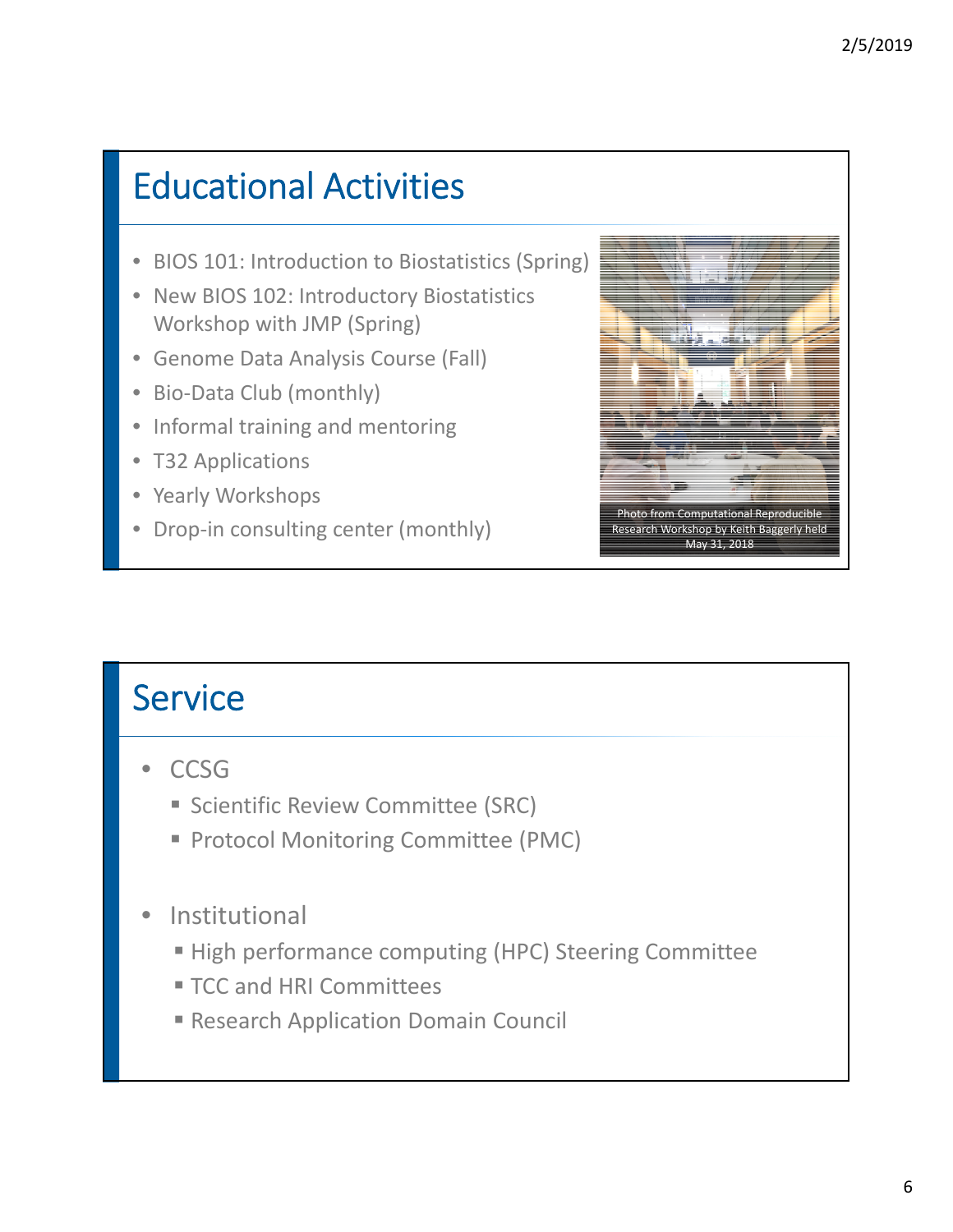# Educational Activities

- BIOS 101: Introduction to Biostatistics (Spring)
- New BIOS 102: Introductory Biostatistics Workshop with JMP (Spring)
- Genome Data Analysis Course (Fall)
- Bio‐Data Club (monthly)
- Informal training and mentoring
- T32 Applications
- Yearly Workshops
- Drop-in consulting center (monthly)



### **Service**

- CCSG
	- **Scientific Review Committee (SRC)**
	- **Protocol Monitoring Committee (PMC)**
- **Institutional** 
	- High performance computing (HPC) Steering Committee
	- **TCC and HRI Committees**
	- **Research Application Domain Council**